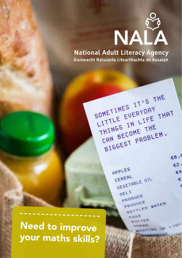

**National Adult Literacy Agency** Áisíneacht Náisiúnta Litearthachta do Aosaigh

SOMETIMES IT'S THE

THINGS IN LITE<br>CAN BECOME THE

APPLES

CEREAL

DEL<sub>1</sub>

OMETIMES EVERYDAY<br>LITTLE EVERYDAY THAT

HINGS ECOME THE CAN BECOME THEM.

CEREAL OIL

PRODUCE **PRODUCE** 

> ESGS **WISTTER**

> > action at 1973.

RODUCE WATER

MARKS IN LIGHT

 $6.83$ €2.

€A

¢

SOMETIMES IT SOMETIMES

Need to improve your maths skills?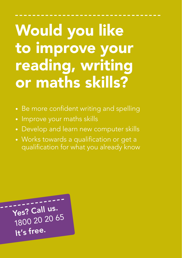### Would you like to improve your reading, writing or maths skills?

- Be more confident writing and spelling
- Improve your maths skills
- Develop and learn new computer skills
- Works towards a qualification or get a qualification for what you already know

Yes? Call us. 1800 20 20 65 It's free.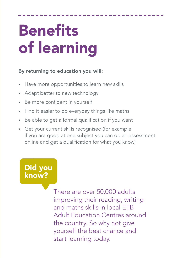# **Benefits** of learning

### By returning to education you will:

- Have more opportunities to learn new skills
- Adapt better to new technology
- Be more confident in yourself
- Find it easier to do everyday things like maths
- Be able to get a formal qualification if you want
- Get your current skills recognised (for example, if you are good at one subject you can do an assessment online and get a qualification for what you know)

Did you know?

> There are over 50,000 adults improving their reading, writing and maths skills in local ETB Adult Education Centres around the country. So why not give yourself the best chance and start learning today.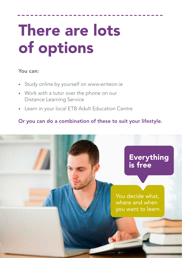## There are lots of options

#### You can:

- Study online by yourself on www.writeon.ie
- Work with a tutor over the phone on our Distance Learning Service
- Learn in your local ETB Adult Education Centre

### Or you can do a combination of these to suit your lifestyle.

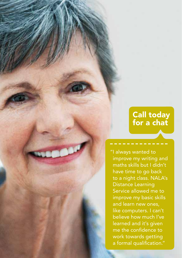### Call today for a chat

"I always wanted to improve my writing and maths skills but I didn't have time to go back to a night class. NALA's Distance Learning Service allowed me to improve my basic skills and learn new ones, like computers. I can't believe how much I've learned and it's given me the confidence to work towards getting a formal qualification."